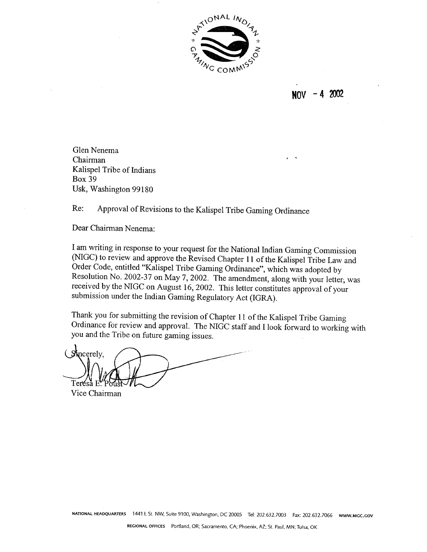

 $NOV - 4 2002$ 

Glen Nenema Chairman Kalispel Tribe of Indians Box 39 Usk, Washington 99180

Re: Approval of Revisions to the Kalispel Tribe Gaming Ordinance

Dear Chairman Nenema:

I am writing in response to your request for the National Indian Gaming Commission (NIGC) to review and approve the Revised Chapter 11 of the Kalispel Tribe Law and Order Code, entitled "Kalispel Tribe Gaming Ordinance", which was adopted by Resolution No. 2002-37 on May 7, 2002. The amendment, along with your letter, was received by the NIGC on August 16,2002. This letter constitutes approval of your submission under the Indian Gaming Regulatory Act (IGRA).

Thank you for submitting the revision of Chapter 11 of the Kalispel Tribe Gaming Ordinance for review and approval. The NIGC staff and I look forward to working with you and the Tribe on future gaming issues.

**St**ucerely, Teréså E Vice Chairman